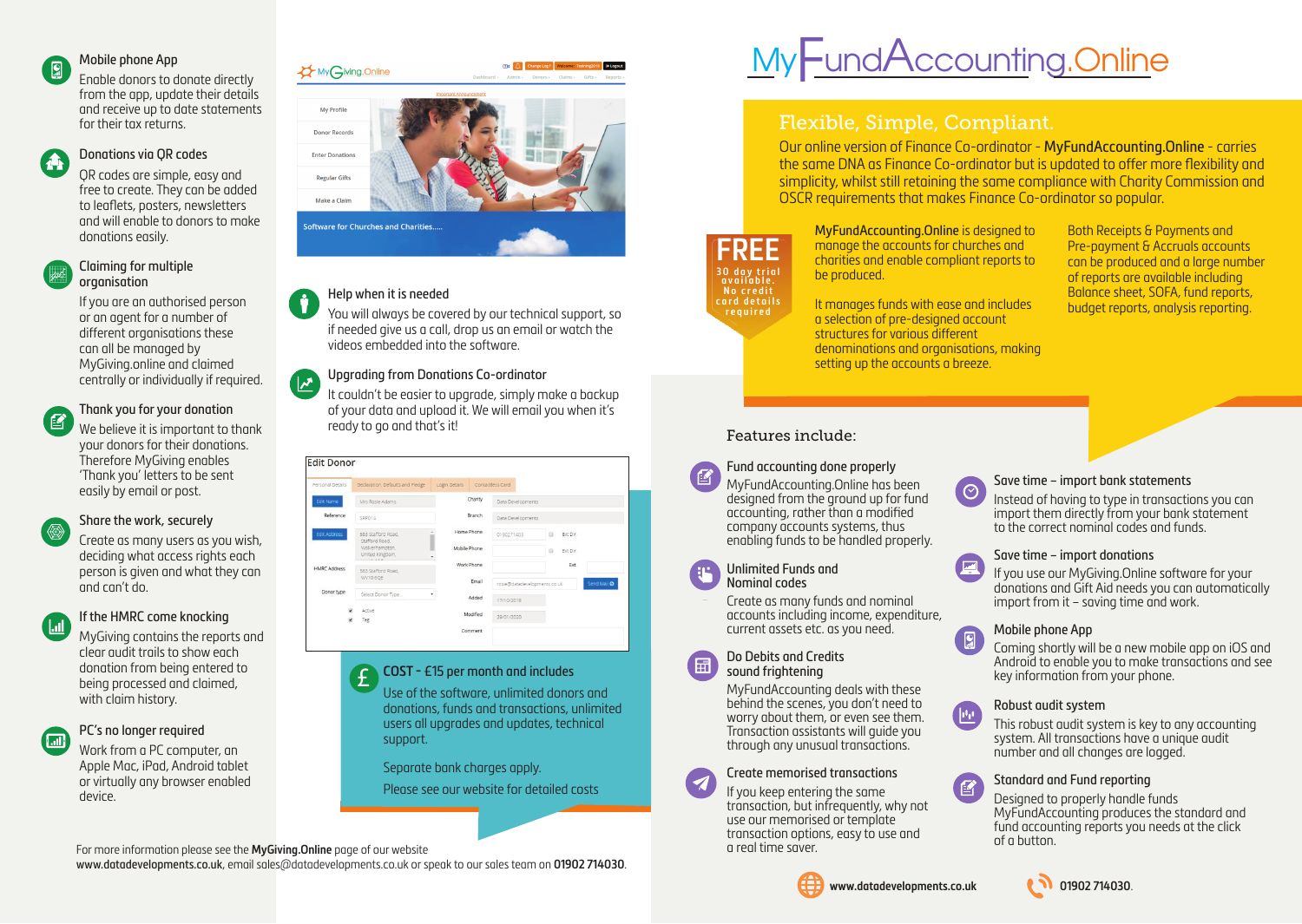#### Mobile phone App  $\overline{\mathbf{g}}$

 $\mathbf{A}$ 

Enable donors to donate directly from the app, update their details and receive up to date statements for their tax returns.

## Donations via QR codes

QR codes are simple, easy and free to create. They can be added to leaflets, posters, newsletters and will enable to donors to make donations easily.

#### Claiming for multiple organisation

If you are an authorised person or an agent for a number of different organisations these can all be managed by MyGiving.online and claimed centrally or individually if required.

#### Thank you for your donation ■

We believe it is important to thank your donors for their donations. Therefore MyGiving enables 'Thank you' letters to be sent easily by email or post.

#### Share the work, securely

Create as many users as you wish, deciding what access rights each person is given and what they can and can't do.

#### If the HMRC come knocking

MyGiving contains the reports and clear audit trails to show each donation from being entered to being processed and claimed, with claim history.

#### PC's no longer required ( M

Work from a PC computer, an Apple Mac, iPad, Android tablet or virtually any browser enabled device.

# MyGiving.Online My Profile



## Help when it is needed

 $\sqrt{2}$ 

You will always be covered by our technical support, so if needed give us a call, drop us an email or watch the videos embedded into the software.

## Upgrading from Donations Co-ordinator

It couldn't be easier to upgrade, simply make a backup of your data and upload it. We will email you when it's ready to go and that's it!

| Personal Details    | Declaration, Defaults and Pledge    | Login Details          | Contactless Card  |                                             |  |
|---------------------|-------------------------------------|------------------------|-------------------|---------------------------------------------|--|
| Edit Name           | Mrs Rosie Adams                     | Charity                | Data Developments |                                             |  |
| Reference           | SRP014                              | Branch                 | Data Developments |                                             |  |
| <b>Edit Address</b> | 563 Stafford Road.<br>Stafford Road | Home Phone             | 0190271403        | Ext Dir.<br>G                               |  |
|                     | Wolverhampton,<br>United Kingdom.   | Mobile Phone<br>$\sim$ |                   | $\Box$<br>Ext Dir.                          |  |
|                     |                                     | Work Phone             |                   | Ext.                                        |  |
| <b>HMRC Address</b> | 563 Stafford Road<br>WV10 6OE       |                        |                   |                                             |  |
|                     |                                     | Email                  |                   | Send Mail O<br>rosie@datadevelopments.co.uk |  |
| Donor type          | Select Donor Type                   | ٠<br>Added             | 17/10/2018        |                                             |  |
| G.                  | Active                              |                        |                   |                                             |  |
| Ø.                  | Tag                                 | Modified               | 29/01/2020        |                                             |  |
|                     |                                     | Comment                |                   |                                             |  |

#### **COST -** £15 per month and includes £

Use of the software, unlimited donors and donations, funds and transactions, unlimited users all upgrades and updates, technical support.

Separate bank charges apply.

## Please see our website for detailed costs

For more information please see the **MyGiving.Online** page of our website

www.datadevelopments.co.uk, email sales@datadevelopments.co.uk or speak to our sales team on **01902 714030**.

# MyFundAccounting.Online

# Flexible, Simple, Compliant.

Our online version of Finance Co-ordinator - MyFundAccounting.Online - carries the same DNA as Finance Co-ordinator but is updated to offer more flexibility and simplicity, whilst still retaining the same compliance with Charity Commission and OSCR requirements that makes Finance Co-ordinator so popular.



MyFundAccounting.Online is designed to manage the accounts for churches and charities and enable compliant reports to be produced.

It manages funds with ease and includes a selection of pre-designed account structures for various different denominations and organisations, making setting up the accounts a breeze.

Both Receipts & Payments and Pre-payment & Accruals accounts can be produced and a large number of reports are available including Balance sheet, SOFA, fund reports, budget reports, analysis reporting.

## Features include:

## Fund accounting done properly

MyFundAccounting.Online has been designed from the ground up for fund accounting, rather than a modified company accounts systems, thus enabling funds to be handled properly.

#### Unlimited Funds and Nominal codes

Create as many funds and nominal accounts including income, expenditure, current assets etc. as you need.

#### Do Debits and Credits sound frightening

MyFundAccounting deals with these behind the scenes, you don't need to worry about them, or even see them. Transaction assistants will guide you through any unusual transactions.



## Create memorised transactions

If you keep entering the same transaction, but infrequently, why not use our memorised or template transaction options, easy to use and a real time saver.



## **www.datadevelopments.co.uk 01902 714030**.



#### Save time – import bank statements

Instead of having to type in transactions you can import them directly from your bank statement to the correct nominal codes and funds.

#### Save time – import donations

If you use our MyGiving.Online software for your donations and Gift Aid needs you can automatically import from it – saving time and work.

#### Mobile phone App

<u>r</u> Coming shortly will be a new mobile app on iOS and Android to enable you to make transactions and see key information from your phone.

#### Robust audit system

This robust audit system is key to any accounting system. All transactions have a unique audit number and all changes are logged.

#### Standard and Fund reporting

Designed to properly handle funds MyFundAccounting produces the standard and fund accounting reports you needs at the click of a button.





(子)





 $\sqrt{\frac{1}{2}}$ 

侄